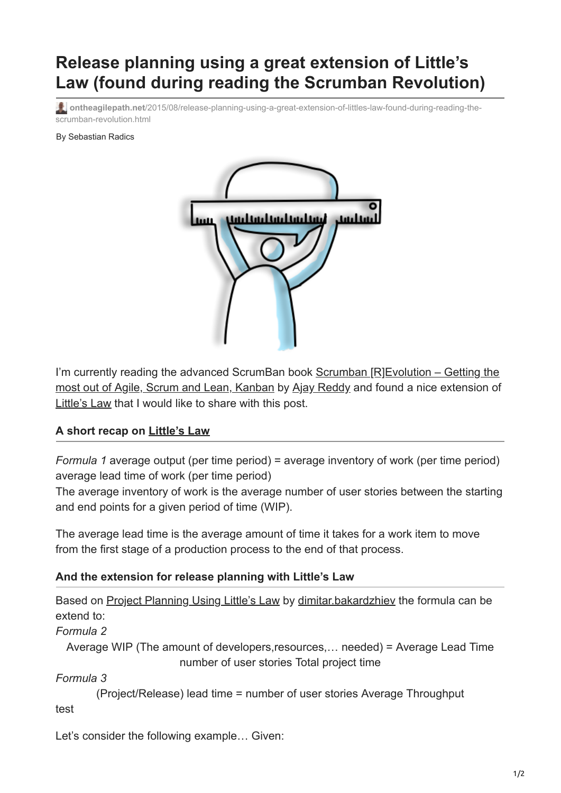## **Release planning using a great extension of Little's Law (found during reading the Scrumban Revolution)**

**ontheagilepath.net**[/2015/08/release-planning-using-a-great-extension-of-littles-law-found-during-reading-the](https://www.ontheagilepath.net/2015/08/release-planning-using-a-great-extension-of-littles-law-found-during-reading-the-scrumban-revolution.html)scrumban-revolution.html

By Sebastian Radics



I'm currently reading the advanced ScrumBan book Scrumban  $[RIEvolution - Getting the$ most out of Agile, Scrum and Lean, Kanban by [Ajay Reddy](https://www.linkedin.com/profile/in/ajaygreddy) and found a nice extension of [Little's Law](http://www.ontheagilepath.net/2015/04/unleash-predictability-by-using.html) that I would like to share with this post.

## **A short recap on [Little's Law](http://www.ontheagilepath.net/2015/04/unleash-predictability-by-using.html)**

*Formula 1* average output (per time period) = average inventory of work (per time period) average lead time of work (per time period)

The average inventory of work is the average number of user stories between the starting and end points for a given period of time (WIP).

The average lead time is the average amount of time it takes for a work item to move from the first stage of a production process to the end of that process.

## **And the extension for release planning with Little's Law**

| Based on Project Planning Using Little's Law by dimitar bakardzhiev the formula can be |
|----------------------------------------------------------------------------------------|
| extend to:                                                                             |
| Formula 2                                                                              |
| Average WIP (The amount of developers, resources, needed) = Average Lead Time          |
| number of user stories Total project time                                              |
| Formula 3                                                                              |
| (Project/Release) lead time = number of user stories Average Throughput                |

test

Let's consider the following example… Given: